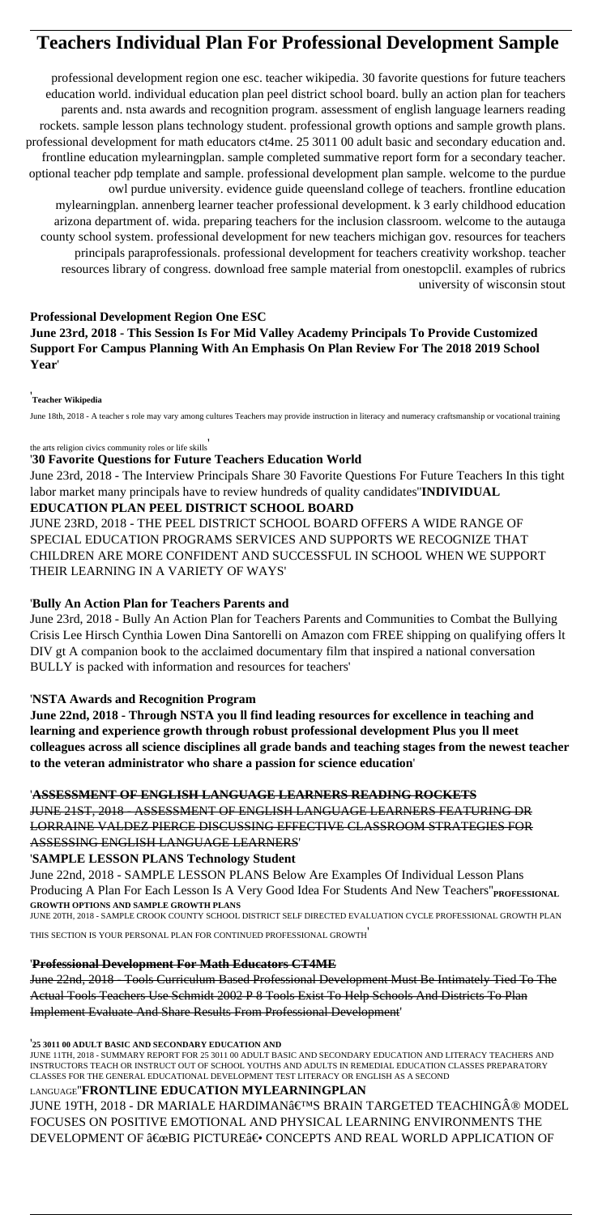# **Teachers Individual Plan For Professional Development Sample**

professional development region one esc. teacher wikipedia. 30 favorite questions for future teachers education world. individual education plan peel district school board. bully an action plan for teachers parents and. nsta awards and recognition program. assessment of english language learners reading rockets. sample lesson plans technology student. professional growth options and sample growth plans. professional development for math educators ct4me. 25 3011 00 adult basic and secondary education and. frontline education mylearningplan. sample completed summative report form for a secondary teacher. optional teacher pdp template and sample. professional development plan sample. welcome to the purdue owl purdue university. evidence guide queensland college of teachers. frontline education mylearningplan. annenberg learner teacher professional development. k 3 early childhood education arizona department of. wida. preparing teachers for the inclusion classroom. welcome to the autauga county school system. professional development for new teachers michigan gov. resources for teachers principals paraprofessionals. professional development for teachers creativity workshop. teacher resources library of congress. download free sample material from onestopclil. examples of rubrics university of wisconsin stout

# **Professional Development Region One ESC**

**June 23rd, 2018 - This Session Is For Mid Valley Academy Principals To Provide Customized Support For Campus Planning With An Emphasis On Plan Review For The 2018 2019 School Year**'

### '**Teacher Wikipedia**

June 18th, 2018 - A teacher s role may vary among cultures Teachers may provide instruction in literacy and numeracy craftsmanship or vocational training

the arts religion civics community roles or life skills'

## '**30 Favorite Questions for Future Teachers Education World**

June 23rd, 2018 - The Interview Principals Share 30 Favorite Questions For Future Teachers In this tight labor market many principals have to review hundreds of quality candidates''**INDIVIDUAL**

## **EDUCATION PLAN PEEL DISTRICT SCHOOL BOARD**

JUNE 23RD, 2018 - THE PEEL DISTRICT SCHOOL BOARD OFFERS A WIDE RANGE OF SPECIAL EDUCATION PROGRAMS SERVICES AND SUPPORTS WE RECOGNIZE THAT CHILDREN ARE MORE CONFIDENT AND SUCCESSFUL IN SCHOOL WHEN WE SUPPORT THEIR LEARNING IN A VARIETY OF WAYS'

# '**Bully An Action Plan for Teachers Parents and**

June 23rd, 2018 - Bully An Action Plan for Teachers Parents and Communities to Combat the Bullying Crisis Lee Hirsch Cynthia Lowen Dina Santorelli on Amazon com FREE shipping on qualifying offers lt DIV gt A companion book to the acclaimed documentary film that inspired a national conversation BULLY is packed with information and resources for teachers'

# '**NSTA Awards and Recognition Program**

**June 22nd, 2018 - Through NSTA you ll find leading resources for excellence in teaching and learning and experience growth through robust professional development Plus you ll meet colleagues across all science disciplines all grade bands and teaching stages from the newest teacher to the veteran administrator who share a passion for science education**'

# '**ASSESSMENT OF ENGLISH LANGUAGE LEARNERS READING ROCKETS**

JUNE 21ST, 2018 - ASSESSMENT OF ENGLISH LANGUAGE LEARNERS FEATURING DR LORRAINE VALDEZ PIERCE DISCUSSING EFFECTIVE CLASSROOM STRATEGIES FOR ASSESSING ENGLISH LANGUAGE LEARNERS'

# '**SAMPLE LESSON PLANS Technology Student**

June 22nd, 2018 - SAMPLE LESSON PLANS Below Are Examples Of Individual Lesson Plans Producing A Plan For Each Lesson Is A Very Good Idea For Students And New Teachers"<sub>PROFESSIONAL</sub> **GROWTH OPTIONS AND SAMPLE GROWTH PLANS**

JUNE 20TH, 2018 - SAMPLE CROOK COUNTY SCHOOL DISTRICT SELF DIRECTED EVALUATION CYCLE PROFESSIONAL GROWTH PLAN

## '**Professional Development For Math Educators CT4ME**

June 22nd, 2018 - Tools Curriculum Based Professional Development Must Be Intimately Tied To The Actual Tools Teachers Use Schmidt 2002 P 8 Tools Exist To Help Schools And Districts To Plan Implement Evaluate And Share Results From Professional Development'

#### '**25 3011 00 ADULT BASIC AND SECONDARY EDUCATION AND**

JUNE 11TH, 2018 - SUMMARY REPORT FOR 25 3011 00 ADULT BASIC AND SECONDARY EDUCATION AND LITERACY TEACHERS AND INSTRUCTORS TEACH OR INSTRUCT OUT OF SCHOOL YOUTHS AND ADULTS IN REMEDIAL EDUCATION CLASSES PREPARATORY CLASSES FOR THE GENERAL EDUCATIONAL DEVELOPMENT TEST LITERACY OR ENGLISH AS A SECOND

# LANGUAGE''**FRONTLINE EDUCATION MYLEARNINGPLAN**

JUNE 19TH, 2018 - DR MARIALE HARDIMAN'S BRAIN TARGETED TEACHING® MODEL FOCUSES ON POSITIVE EMOTIONAL AND PHYSICAL LEARNING ENVIRONMENTS THE DEVELOPMENT OF  $\hat{a} \in \alpha$ BIG PICTURE $\hat{a} \in \cdot$  CONCEPTS AND REAL WORLD APPLICATION OF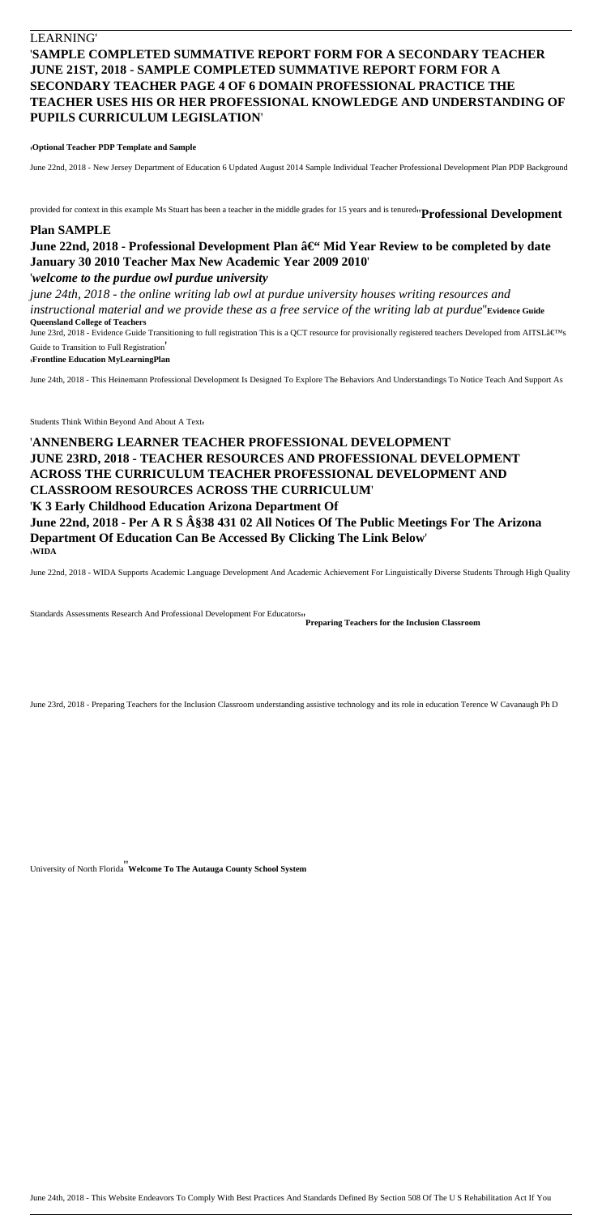# LEARNING' '**SAMPLE COMPLETED SUMMATIVE REPORT FORM FOR A SECONDARY TEACHER JUNE 21ST, 2018 - SAMPLE COMPLETED SUMMATIVE REPORT FORM FOR A SECONDARY TEACHER PAGE 4 OF 6 DOMAIN PROFESSIONAL PRACTICE THE TEACHER USES HIS OR HER PROFESSIONAL KNOWLEDGE AND UNDERSTANDING OF PUPILS CURRICULUM LEGISLATION**'

#### '**Optional Teacher PDP Template and Sample**

June 22nd, 2018 - New Jersey Department of Education 6 Updated August 2014 Sample Individual Teacher Professional Development Plan PDP Background

provided for context in this example Ms Stuart has been a teacher in the middle grades for 15 years and is tenured''**Professional Development**

June 23rd, 2018 - Evidence Guide Transitioning to full registration This is a QCT resource for provisionally registered teachers Developed from AITSL's Guide to Transition to Full Registration'

# **Plan SAMPLE** June 22nd, 2018 - Professional Development Plan â€" Mid Year Review to be completed by date **January 30 2010 Teacher Max New Academic Year 2009 2010**'

### '*welcome to the purdue owl purdue university*

*june 24th, 2018 - the online writing lab owl at purdue university houses writing resources and instructional material and we provide these as a free service of the writing lab at purdue*''**Evidence Guide Queensland College of Teachers**

'**Frontline Education MyLearningPlan**

June 24th, 2018 - This Heinemann Professional Development Is Designed To Explore The Behaviors And Understandings To Notice Teach And Support As

Students Think Within Beyond And About A Text,

# '**ANNENBERG LEARNER TEACHER PROFESSIONAL DEVELOPMENT JUNE 23RD, 2018 - TEACHER RESOURCES AND PROFESSIONAL DEVELOPMENT ACROSS THE CURRICULUM TEACHER PROFESSIONAL DEVELOPMENT AND CLASSROOM RESOURCES ACROSS THE CURRICULUM**'

## '**K 3 Early Childhood Education Arizona Department Of June 22nd, 2018 - Per A R S §38 431 02 All Notices Of The Public Meetings For The Arizona Department Of Education Can Be Accessed By Clicking The Link Below**' '**WIDA**

June 22nd, 2018 - WIDA Supports Academic Language Development And Academic Achievement For Linguistically Diverse Students Through High Quality

Standards Assessments Research And Professional Development For Educators<sub>11</sub><br>Preparing Teachers for the Inclusion Classroom

June 23rd, 2018 - Preparing Teachers for the Inclusion Classroom understanding assistive technology and its role in education Terence W Cavanaugh Ph D

University of North Florida''**Welcome To The Autauga County School System**

June 24th, 2018 - This Website Endeavors To Comply With Best Practices And Standards Defined By Section 508 Of The U S Rehabilitation Act If You